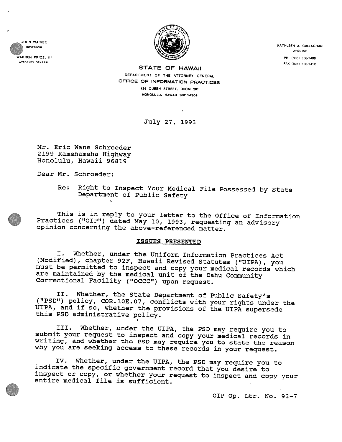JOHN WAIHEE GOVERNOR



KATHLEEN A. CALLAGHAN DIRECTOR WARREN PRICE. III PH. (808) 586-1400<br>ATTORNEY GENERAL PRICE. III PH. (808) 586-1400

STATE OF HAWAII STATE OF HAWAII OEPARTMENT OF THE ATTORNEY cENERAL OFFICE OF INFORMATION PRACTICES 426 QUEEN STREET, ROOM 201 HONOLULU. HAWAII 96813-2904

July 27, 1993

Mr. Eric Wane Schroeder 2199 Kamehameha Highway Honolulu, Hawaii 96819

Dear Mr. Schroeder:

Re: Right to Inspect Your Medical File Possessed by State Department of Public Safety  $\leq$ 

This is in reply to your letter to the Office of Information Practices ("OIP") dated May 10, 1993, requesting an advisory opinion concerning the above—referenced matter.

# ISSUES PRESENTED

I. Whether, under the Uniform Information Practices Act must be permitted to inspect and copy your medical records which are maintained by the medical unit of the Oahu Community Correctional Facility ("OCCC") upon request.

II. Whether, the State Department of Public Safety's ("PSD") policy, COR.1OE.07, conflicts with your rights under the UIPA, and if so, whether the provisions of the UIPA supersede this PSD administrative policy.

III. Whether, under the UIPA, the PSD may require you to<br>submit your request to inspect and copy your medical records in<br>writing, and whether the PSD may require you to state the reason<br>why you are seeking access to these

IV. Whether, under the UIPA, the PSD may require you to indicate the specific government record that you desire to inspect or copy, or whether your request to inspect and copy your entire medical file is sufficient.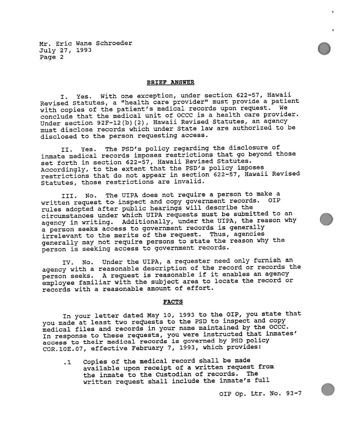## BRIEF ANSWER

I. Yes. With one exception, under section 622-57, Hawaii Revised Statutes, <sup>a</sup> "health care provider" must provide <sup>a</sup> patient with copies of the patient's medical records upon request. We conclude that the medical unit of OCCC is <sup>a</sup> health care provider. Under section 92F-12(b)(2), Hawaii Revised Statutes, an agency must disclose records which under State law are authorized to be disclosed to the person requesting access.

II. Yes. The PSD's policy regarding the disclosure of inmate medical records imposes restrictions that go beyond those set forth in section 622—57, Hawaii Revised Statutes. Accordingly, to the extent that the PSD's policy imposes restrictions that do not appear in section 622-57, Hawaii Revised Statutes, those restrictions are invalid.

III. No. The UIPA does not require <sup>a</sup> person to make a written request to inspect and copy government records. OIP rules adopted after public hearings will describe the circumstances under which UIPA requests must be submitted to an agency in writing. Additionally, under the UIPA, the reason why <sup>a</sup> person seeks access to governmen<sup>t</sup> records is generally irrelevant to the merits of the request. Thus, agencies generally may not require persons to state the reason why the person is seeking access to governmen<sup>t</sup> records.

IV. No. Under the UIPA, <sup>a</sup> requester need only furnish an agency with <sup>a</sup> reasonable description of the record or records the person seeks. <sup>A</sup> reques<sup>t</sup> is reasonable if it enables an agency employee familiar with the subject area to locate the record or records with <sup>a</sup> reasonable amount of effort.

### PACTS

In your letter dated May 10, <sup>1993</sup> to the OIP, you state that you made at least two requests to the PSD to inspect and copy medical files and records in your name maintained by the OCCC. In response to these requests, you were instructed that inmates' access to their medical records is governe<sup>d</sup> by PSD policy COR.lOE.07, effective February 7, 1993, which provides:

.1 Copies of the medical record shall be made available upon receipt of <sup>a</sup> written reques<sup>t</sup> from the inmate to the Custodian of records. The written reques<sup>t</sup> shall include the inmate's full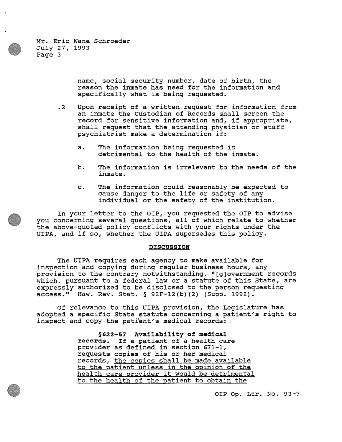> name, social security number, date of birth, the reason the inmate has need for the information and specifically what is being requested.

- .2 Upon receipt of <sup>a</sup> written reques<sup>t</sup> for information from an inmate the custodian of Records shall screen the record for sensitive information and, if appropriate, shall reques<sup>t</sup> that the attending physician or staff psychiatrist make <sup>a</sup> determination if:
	- a. The information being requested is detrimental to the health of the inmate.
	- b. The information is irrelevant to the needs of the inmate.
	- c. The information could reasonably be expected to cause danger to the life or safety of any individual or the safety of the institution.

In your letter to the OIP, you requested the OIP to advise you concerning several questions, all of which relate to whether the above-quoted policy conflicts with your rights under the UIPA, and if so, whether the UIPA supersedes this policy.

### DISCUSSION

The UIPA requires each agency to make available for inspection and copying during regular business hours, any provision to the contrary notwithstanding, "[g]overnment records which, pursuan<sup>t</sup> to <sup>a</sup> federal law or <sup>a</sup> statute of this State, are expressly authorized to be disclosed to the person requesting access." Haw. Rev. Stat, § 92F—l2(b)(2) (Supp. 1992).

Of relevance to this UIPA provision, the Legislature has adopted <sup>a</sup> specific State statute concerning <sup>a</sup> patient's right to inspect and copy the patient's medical records:

> §622—57 Availability of medical records. If <sup>a</sup> patient of <sup>a</sup> health care provider as defined in section 671-1, requests copies of his or her medical records, the conies shall be made available to the patient unless in the opinion of the health care provider it would be detrimental to the health of the patient to obtain the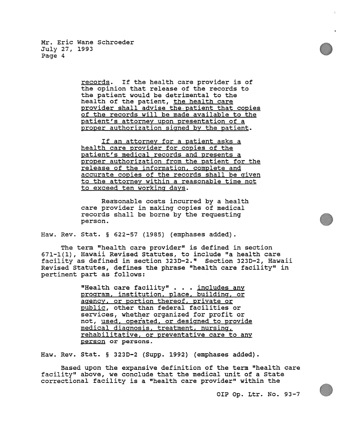records. If the health care provider is of the opinion that release of the records to the patient would be detrimental to the health of the patient, the health care provider shall advise the patient that copies of the records will be made available to the patient's attorney upon presentation of <sup>a</sup> proper authorization signed by the patient.

If an attorney for a patient asks a health care provider for copies of the patient's medical records and presents <sup>a</sup> proper authorization from the patient for the release of the information, complete and accurate copies of the records shall be given to the attorney within <sup>a</sup> reasonable time not to exceed ten working days.

Reasonable costs incurred by <sup>a</sup> health care provider in making copies of medical records shall be borne by the requesting person.

Haw. Rev. Stat. § 622—57 (1985) (emphases added).

The term "health care provider" is defined in section 671-1(1), Hawaii Revised Statutes, to include "a health care facility as defined in section 323D—2." Section 323D—2, Hawaii Revised Statutes, defines the phrase "health care facility" in pertinent par<sup>t</sup> as follows:

> "Health care facility" . . . <u>includes any</u> program, institution, place, building, or agency, or portion thereof, private or public, other than federal facilities or services, whether organized for profit or not, used, operated, or designed to provide medical diagnosis. treatment. nursing, rehabilitative, or preventative care to any person or persons.

Haw. Rev. Stat. § 323D—2 (Supp. 1992) (emphases added).

Based upon the expansive definition of the term "health care facility" above, we conclude that the medical unit of <sup>a</sup> State correctional facility is <sup>a</sup> "health care provider" within the

01? Op. Ltr. No. 93-7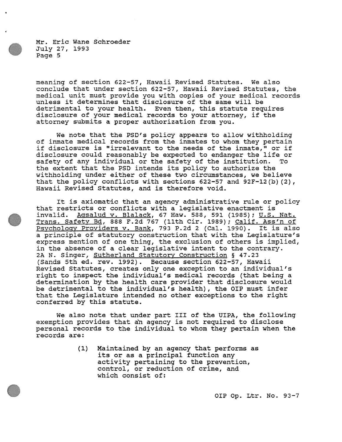meaning of section 622—57, Hawaii Revised Statutes. We also conclude that under section 622-57, Hawaii Revised Statutes, the medical unit must provide you with copies of your medical records unless it determines that disclosure of the same will be detrimental to your health. Even then, this statute requires disclosure of your medical records to your attorney, if the attorney submits <sup>a</sup> proper authorization from you.

We note that the PSD's policy appears to allow withholding of inmate medical records from the inmates to whom they pertain if disclosure is "irrelevant to the needs of the inmate," or if disclosure could reasonably be expected to endanger the life or safety of any individual or the safety of the institution. To the extent that the PSD intends its policy to authorize the withholding under either of these two circumstances, we believe that the policy conflicts with sections 622-57 and 92F-l2 (b) (2), Hawaii Revised Statutes, and is therefore void.

It is axiomatic that an agency administrative rule or policy that restricts or conflicts with <sup>a</sup> legislative enactment is invalid. Agsalud v. Blalack, 67 Haw. 588, 591 (1985); U.S. Nat. Trans. Safety Bd, 888 F.2d 767 (11th Cir. 1989); Calif. Ass'n of Psychology Providers v. Bank, 793 P.2d 2 (Cal. 1990). It is also <sup>a</sup> principle of statutory construction that with the Legislature's express mention of one thing, the exclusion of others is implied, in the absence of <sup>a</sup> clear legislative intent to the contrary. 2A N. Singer, Sutherland Statutory Construction § 47.23 (Sands 5th ed. rev, 1992). Because section 622—57, Hawaii Revised Statutes, creates only one exception to an individual's right to inspect the individual's medical records (that being <sup>a</sup> determination by the health care provider that disclosure would be detrimental to the individual's health), the QIP must infer that the Legislature intended no other exceptions to the right conferred by this statute.

We also note that under par<sup>t</sup> III of the UIPA, the following exemption provides that än agency is not required to disclose personal records to the individual to whom they pertain when the records are:

> (1) Maintained by an agency that performs as its or as <sup>a</sup> principal function any activity pertaining to the prevention, control, or reduction of crime, and which consist of: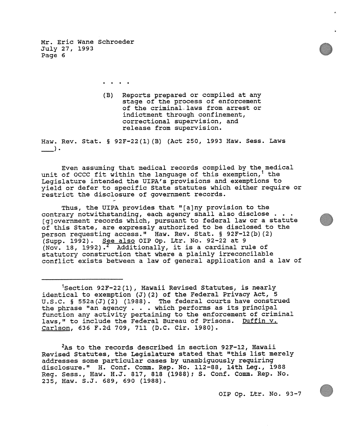> (B) Reports prepared or compiled at any stage of the process of enforcement of the criminal laws from arrest or indictment through confinement, correctional supervision, and

> > release from supervision.

Haw. Rev. Stat. § 92F-22(l)(B) (Act 250, <sup>1993</sup> Haw. Sess. Laws  $\rightarrow$ 

Even assuming that medical records compiled by the medical unit of OCCC fit within the language of this exemption,<sup>1</sup> the Legislature intended the UIPA's provisions and exemptions to <sup>y</sup>ield or defer to specific State statutes which either require or restrict the disclosure of governmen<sup>t</sup> records.

Thus, the UIPA provides that "[a]ny provision to the contrary notwithstanding, each agency shall also disclose . . . [g]overnment records which, pursuant to federal law or a statute of this State, are expressly authorized to be disclosed to the person requesting access." Haw. Rev. Stat. § 92F-12(b)(2) (Supp. 1992). See also OIP Op. Ltr. No. 92—22 at <sup>9</sup> (Nov. 18, 1992).<sup>2</sup> Additionally, it is a cardinal rule of statutory construction that where <sup>a</sup> <sup>p</sup>lainly irreconcilable conflict exists between <sup>a</sup> law of genera<sup>l</sup> application and <sup>a</sup> law of

 ${}^{2}$ As to the records described in section 92F-12, Hawaii Revised Statutes, the Legislature stated that "this list merely addresses some particular cases by unambiguously requiring disclosure." H. Conf. Comm. Rep. No. 112—88, 14th Leg., 1988 Reg. Sess., Haw. H.J. 817, <sup>818</sup> (1988); S. Conf. Comm. Rep. No. 235, Haw. S.J. 689, 690 (1988).

 $1$ Section 92F-22(1), Hawaii Revised Statutes, is nearly identical to exemption  $J(2)$  of the Federal Privacy Act,  $5$ U.S.C. § 552a(J)(2) (1988). The federal courts have construed the <sup>p</sup>hrase "an agency . . . which performs as its principal function any activity pertaining to the enforcement of criminal laws," to include the Federal Bureau of Prisons. Duffin v. Carison, 636 F.2d 709, 711 (D.C. Cir. 1980).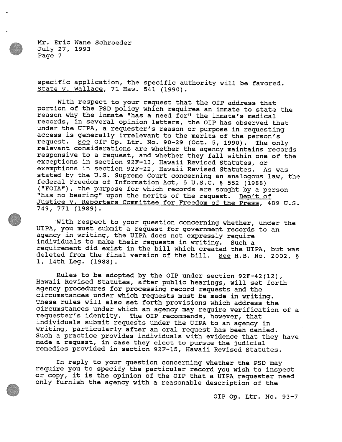specific application, the specific authority will be favored. State v. Wallace, <sup>71</sup> Haw, <sup>541</sup> (1990).

With respect to your request that the OIP address that portion of the PSD policy which requires an inmate to state the reason why the inmate "has <sup>a</sup> need for" the inmate's medical records, in several opinion letters, the OIP has observed that under the UIPA, <sup>a</sup> requester's reason or purpose in requesting access is generally irrelevant to the merits of the person's<br>request. See OIP Op. Ltr. No. 90-29 (Oct. 5, 1990). The only relevant considerations are whether the agency maintains records responsive to <sup>a</sup> request, and whether they fall within one of the exceptions in section 92F-13, Hawaii Revised Statutes, or exemptions in section 92F—22, Hawaii Revised Statutes. As was stated by the U.S. Supreme Court concerning an analogous law, the federal Freedom of Information Act, 5 U.S.C. § 552 (1988) federal Freedom of Information Act, <sup>5</sup> U.S.C. § <sup>552</sup> (1988) ("FdA"), the purpose for which records are sought by <sup>a</sup> person "has no bearing" upon the merits of the request. Dep't of Justice V. Reporters Committee for Freedom of the Press, <sup>489</sup> U.S. 749, 771 (1989).

With respect to your question concerning whether, under the UIPA, you must submit <sup>a</sup> request for government records to an agency in writing, the UIPA does not expressly require individuals to make their requests in writing. Such a requirement did exist in the bill which created the UIPA, but was deleted from the final version of the bill. See H.B. No. 2002, § 1, 14th Leg. (1988).

Rules to be adopted by the OIP under section 92F-42(12), Hawaii Revised Statutes, after public hearings, will set forth agency procedures for processing record requests and the circumstances under which requests must be made in writing. These rules will also set forth provisions which address the circumstances under which an agency may require verification of a requester's identity. The 01? recommends, however, that individuals submit requests under the UIPA to an agency in writing, particularly after an oral request has been denied. Such <sup>a</sup> practice provides individuals with evidence that they have made <sup>a</sup> request, in case they elect to pursue the judicial remedies provided in section 92F-l5, Hawaii Revised Statutes.

In reply to your question concerning whether the PSD may require you to specify the particular record you wish to inspect or copy, it is the opinion of the 01? that <sup>a</sup> UIPA requester need only furnish the agency with <sup>a</sup> reasonable description of the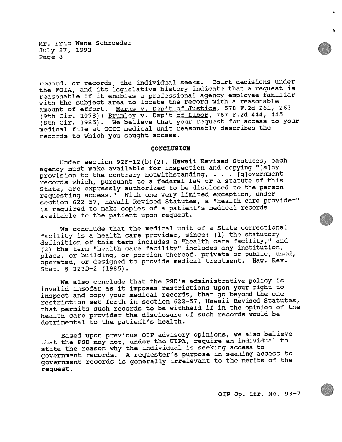record, or records, the individual seeks. Court decisions under the FOIA, and its legislative history indicate that <sup>a</sup> reques<sup>t</sup> is reasonable if it enables <sup>a</sup> professional agency employee familiar with the subject area to locate the record with <sup>a</sup> reasonable amount of effort. Marks v. Dep't of Justice, <sup>578</sup> F.2d 261, <sup>263</sup> (9th Cir. 1978); Brumlev v. Dep't of Labor, <sup>767</sup> F.2d 444, <sup>445</sup> (8th Cir. 1985). We believe that your reques<sup>t</sup> for access to your medical file at OCCC medical unit reasonably describes the records to which you sought access.

#### **CONCLUSION**

Under section 92F—12(b)(2), Hawaii Revised Statutes, each agency must make available for inspection and copying "[a)ny provision to the contrary notwithstanding, . . . [g]overnment records which, pursuan<sup>t</sup> to <sup>a</sup> federal law or <sup>a</sup> statute of this State, are expressly authorized to be disclosed to the person requesting access." With one very limited exception, under section 622—57, Hawaii Revised Statutes, <sup>a</sup> "health care provider" is required to make copies of <sup>a</sup> patient's medical records available to the patient upon request.

We conclude that the medical unit of <sup>a</sup> State correctional facility is <sup>a</sup> health care provider, since: (1) the statutory definition of this term includes <sup>a</sup> "health care facility," and (2) the term "health care facility" includes any institution, <sup>p</sup>lace, or building, or portion thereof, private or public, used, operated, or designed to provide medical treatment. Haw. Rev. Stat. § 323D—2 (1985).

We also conclude that the PSD's administrative policy is invalid insofar as it imposes restrictions upon your right to inspect and copy your medical records, that go beyond the one restriction set forth in section 622-57, Hawaii Revised Statutes, that permits such records to be withheld if in the opinion of the health care provider the disclosure of such records would be detrimental to the patient's health.

Based upon previous OIP advisory opinions, we also believe that the PSD may not, under the UIPA, require an individual to state the reason why the individual is seeking access to governmen<sup>t</sup> records. <sup>A</sup> requester's purpose in seeking access to governmen<sup>t</sup> records is generally irrelevant to the merits of the request.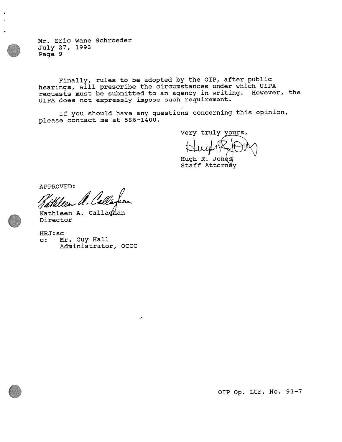Finally, rules to be adopted by the OIP, after public hearings, will prescribe the circumstances under which UIPA requests must be submitted to an agency in writing. However, the UIPA does not expressly impose such requirement.

If you should have any questions concerning this opinion, <sup>p</sup>lease contact me at 586—1400.

÷,

Very truly yours,

Hugh R. Jone Staff Attorney

APPROVED:

Kathleen A. Callaghan Director

HPJ: sc

C: Mr. Guy Hall Administrator, OCCC